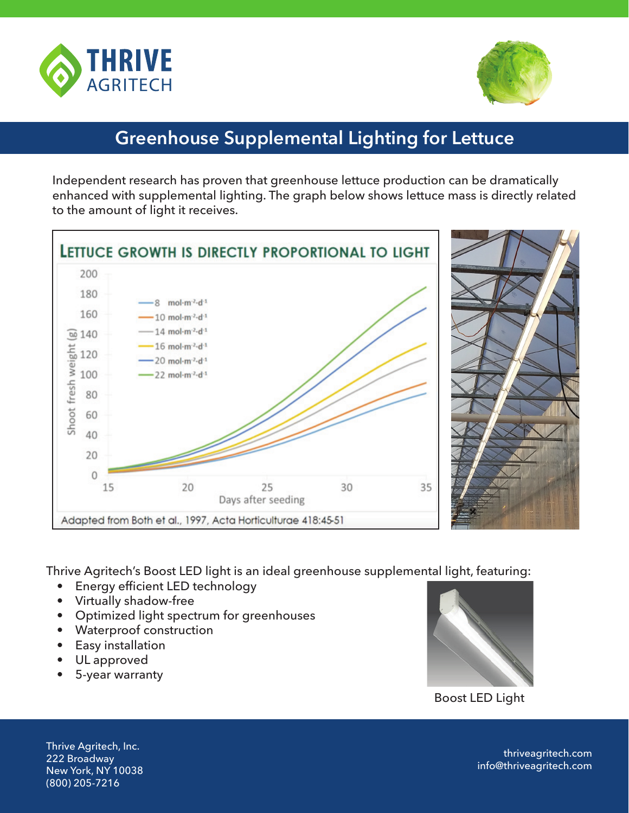



## **Greenhouse Supplemental Lighting for Lettuce**

Independent research has proven that greenhouse lettuce production can be dramatically enhanced with supplemental lighting. The graph below shows lettuce mass is directly related to the amount of light it receives.



Thrive Agritech's Boost LED light is an ideal greenhouse supplemental light, featuring:

- Energy efficient LED technology
- Virtually shadow-free
- Optimized light spectrum for greenhouses
- Waterproof construction
- Easy installation
- UL approved
- 5-year warranty



Boost LED Light

Thrive Agritech, Inc. 222 Broadway New York, NY 10038 (800) 205-7216

thriveagritech.com info@thriveagritech.com